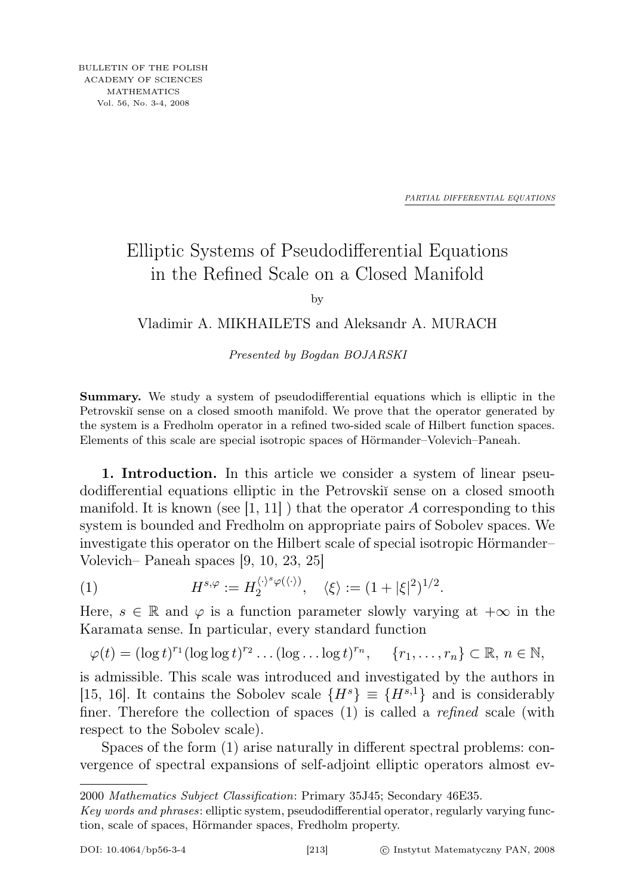*PARTIAL DIFFERENTIAL EQUATIONS*

## Elliptic Systems of Pseudodifferential Equations in the Refined Scale on a Closed Manifold

by

## Vladimir A. MIKHAILETS and Aleksandr A. MURACH

Presented by Bogdan BOJARSKI

Summary. We study a system of pseudodifferential equations which is elliptic in the Petrovskiĭ sense on a closed smooth manifold. We prove that the operator generated by the system is a Fredholm operator in a refined two-sided scale of Hilbert function spaces. Elements of this scale are special isotropic spaces of Hörmander–Volevich–Paneah.

1. Introduction. In this article we consider a system of linear pseudodifferential equations elliptic in the Petrovski˘ı sense on a closed smooth manifold. It is known (see  $[1, 11]$ ) that the operator A corresponding to this system is bounded and Fredholm on appropriate pairs of Sobolev spaces. We investigate this operator on the Hilbert scale of special isotropic Hörmander– Volevich– Paneah spaces [9, 10, 23, 25]

(1) 
$$
H^{s,\varphi} := H_2^{\langle \cdot \rangle^s \varphi(\langle \cdot \rangle)}, \quad \langle \xi \rangle := (1 + |\xi|^2)^{1/2}.
$$

Here,  $s \in \mathbb{R}$  and  $\varphi$  is a function parameter slowly varying at  $+\infty$  in the Karamata sense. In particular, every standard function

$$
\varphi(t) = (\log t)^{r_1} (\log \log t)^{r_2} \dots (\log \dots \log t)^{r_n}, \quad \{r_1, \dots, r_n\} \subset \mathbb{R}, n \in \mathbb{N},
$$

is admissible. This scale was introduced and investigated by the authors in [15, 16]. It contains the Sobolev scale  $\{H^s\} \equiv \{H^{s,1}\}\$ and is considerably finer. Therefore the collection of spaces (1) is called a *refined* scale (with respect to the Sobolev scale).

Spaces of the form (1) arise naturally in different spectral problems: convergence of spectral expansions of self-adjoint elliptic operators almost ev-

<sup>2000</sup> Mathematics Subject Classification: Primary 35J45; Secondary 46E35.

Key words and phrases: elliptic system, pseudodifferential operator, regularly varying function, scale of spaces, Hörmander spaces, Fredholm property.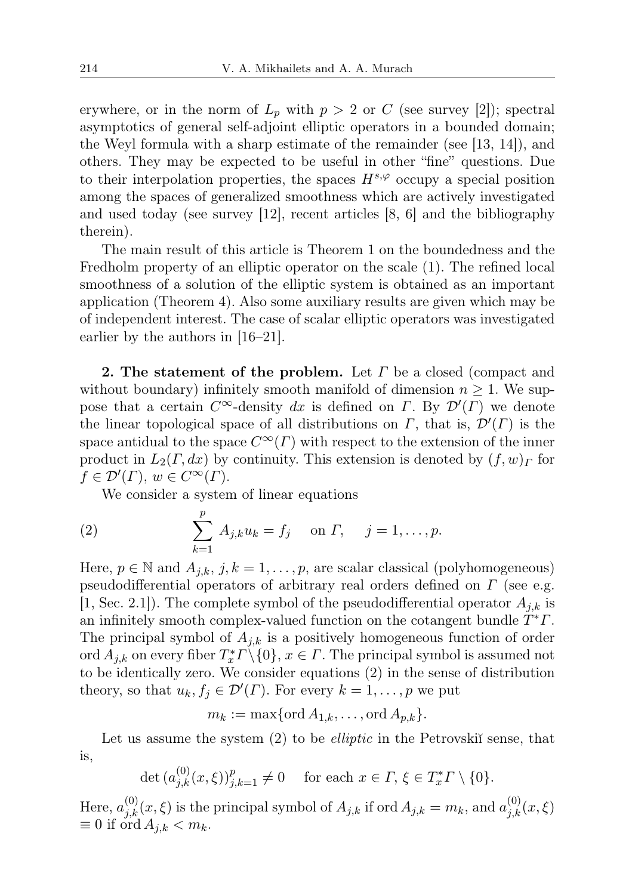erywhere, or in the norm of  $L_p$  with  $p > 2$  or C (see survey [2]); spectral asymptotics of general self-adjoint elliptic operators in a bounded domain; the Weyl formula with a sharp estimate of the remainder (see  $[13, 14]$ ), and others. They may be expected to be useful in other "fine" questions. Due to their interpolation properties, the spaces  $H^{s,\varphi}$  occupy a special position among the spaces of generalized smoothness which are actively investigated and used today (see survey [12], recent articles [8, 6] and the bibliography therein).

The main result of this article is Theorem 1 on the boundedness and the Fredholm property of an elliptic operator on the scale (1). The refined local smoothness of a solution of the elliptic system is obtained as an important application (Theorem 4). Also some auxiliary results are given which may be of independent interest. The case of scalar elliptic operators was investigated earlier by the authors in [16–21].

2. The statement of the problem. Let  $\Gamma$  be a closed (compact and without boundary) infinitely smooth manifold of dimension  $n \geq 1$ . We suppose that a certain  $C^{\infty}$ -density dx is defined on  $\Gamma$ . By  $\mathcal{D}'(\Gamma)$  we denote the linear topological space of all distributions on  $\Gamma$ , that is,  $\mathcal{D}'(\Gamma)$  is the space antidual to the space  $C^{\infty}(\Gamma)$  with respect to the extension of the inner product in  $L_2(\Gamma, dx)$  by continuity. This extension is denoted by  $(f, w)_\Gamma$  for  $f \in \mathcal{D}'(\Gamma), w \in C^{\infty}(\Gamma).$ 

We consider a system of linear equations

(2) 
$$
\sum_{k=1}^{p} A_{j,k} u_k = f_j \text{ on } \Gamma, \quad j = 1, ..., p.
$$

Here,  $p \in \mathbb{N}$  and  $A_{j,k}, j, k = 1, \ldots, p$ , are scalar classical (polyhomogeneous) pseudodifferential operators of arbitrary real orders defined on Γ (see e.g. [1, Sec. 2.1]). The complete symbol of the pseudodifferential operator  $A_{i,k}$  is an infinitely smooth complex-valued function on the cotangent bundle  $\tilde{T}^*T$ . The principal symbol of  $A_{i,k}$  is a positively homogeneous function of order ord  $A_{j,k}$  on every fiber  $T^*_x \Gamma \setminus \{0\}$ ,  $x \in \Gamma$ . The principal symbol is assumed not to be identically zero. We consider equations (2) in the sense of distribution theory, so that  $u_k, f_j \in \mathcal{D}'(\Gamma)$ . For every  $k = 1, \ldots, p$  we put

 $m_k := \max\{\text{ord }A_{1,k}, \ldots, \text{ord }A_{n,k}\}.$ 

Let us assume the system  $(2)$  to be *elliptic* in the Petrovski $\tilde{a}$  sense, that is,

 $\det (a_{j,k}^{(0)}(x,\xi))_{j,k=1}^p \neq 0 \quad \text{ for each } x \in \Gamma, \, \xi \in T_x^* \Gamma \setminus \{0\}.$ 

Here,  $a_{j,k}^{(0)}(x,\xi)$  is the principal symbol of  $A_{j,k}$  if ord  $A_{j,k} = m_k$ , and  $a_{j,k}^{(0)}(x,\xi)$  $\equiv 0$  if ord  $A_{j,k} < m_k$ .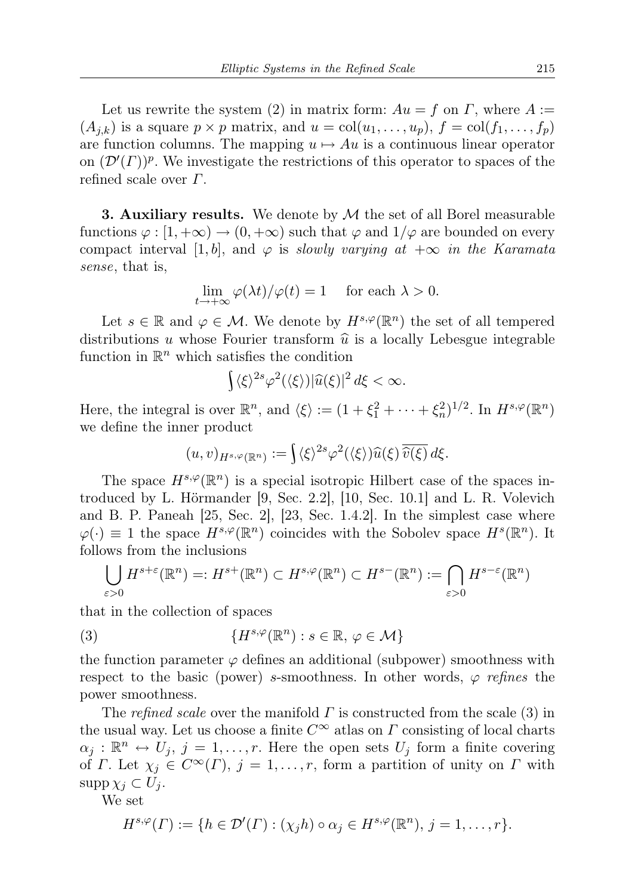Let us rewrite the system (2) in matrix form:  $Au = f$  on  $\Gamma$ , where  $A :=$  $(A_{i,k})$  is a square  $p \times p$  matrix, and  $u = \text{col}(u_1, \ldots, u_p)$ ,  $f = \text{col}(f_1, \ldots, f_p)$ are function columns. The mapping  $u \mapsto Au$  is a continuous linear operator on  $(\mathcal{D}'(\Gamma))^p$ . We investigate the restrictions of this operator to spaces of the refined scale over  $\Gamma$ .

**3. Auxiliary results.** We denote by  $M$  the set of all Borel measurable functions  $\varphi : [1, +\infty) \to (0, +\infty)$  such that  $\varphi$  and  $1/\varphi$  are bounded on every compact interval [1, b], and  $\varphi$  is slowly varying at  $+\infty$  in the Karamata sense, that is,

$$
\lim_{t \to +\infty} \varphi(\lambda t) / \varphi(t) = 1 \quad \text{ for each } \lambda > 0.
$$

Let  $s \in \mathbb{R}$  and  $\varphi \in \mathcal{M}$ . We denote by  $H^{s,\varphi}(\mathbb{R}^n)$  the set of all tempered distributions u whose Fourier transform  $\hat{u}$  is a locally Lebesgue integrable function in  $\mathbb{R}^n$  which satisfies the condition

$$
\int \langle \xi \rangle^{2s} \varphi^2(\langle \xi \rangle) |\widehat{u}(\xi)|^2 d\xi < \infty.
$$

Here, the integral is over  $\mathbb{R}^n$ , and  $\langle \xi \rangle := (1 + \xi_1^2 + \cdots + \xi_n^2)^{1/2}$ . In  $H^{s,\varphi}(\mathbb{R}^n)$ we define the inner product

$$
(u,v)_{H^{s,\varphi}(\mathbb{R}^n)} := \int \langle \xi \rangle^{2s} \varphi^2(\langle \xi \rangle) \widehat{u}(\xi) \overline{\widehat{v}(\xi)} d\xi.
$$

The space  $H^{s,\varphi}(\mathbb{R}^n)$  is a special isotropic Hilbert case of the spaces introduced by L. Hörmander [9, Sec. 2.2], [10, Sec. 10.1] and L. R. Volevich and B. P. Paneah [25, Sec. 2], [23, Sec. 1.4.2]. In the simplest case where  $\varphi(\cdot) \equiv 1$  the space  $H^{s,\varphi}(\mathbb{R}^n)$  coincides with the Sobolev space  $H^s(\mathbb{R}^n)$ . It follows from the inclusions

$$
\bigcup_{\varepsilon>0} H^{s+\varepsilon}(\mathbb{R}^n) =: H^{s+}(\mathbb{R}^n) \subset H^{s,\varphi}(\mathbb{R}^n) \subset H^{s-}(\mathbb{R}^n) := \bigcap_{\varepsilon>0} H^{s-\varepsilon}(\mathbb{R}^n)
$$

that in the collection of spaces

(3) 
$$
\{H^{s,\varphi}(\mathbb{R}^n) : s \in \mathbb{R}, \varphi \in \mathcal{M}\}
$$

the function parameter  $\varphi$  defines an additional (subpower) smoothness with respect to the basic (power) s-smoothness. In other words,  $\varphi$  refines the power smoothness.

The refined scale over the manifold  $\Gamma$  is constructed from the scale (3) in the usual way. Let us choose a finite  $C^{\infty}$  atlas on  $\Gamma$  consisting of local charts  $\alpha_j : \mathbb{R}^n \leftrightarrow U_j, j = 1, \ldots, r.$  Here the open sets  $U_j$  form a finite covering of Γ. Let  $\chi_j \in C^{\infty}(\Gamma)$ ,  $j = 1, \ldots, r$ , form a partition of unity on Γ with  $\supp \chi_j \subset U_j$ .

We set

$$
H^{s,\varphi}(\Gamma) := \{ h \in \mathcal{D}'(\Gamma) : (\chi_j h) \circ \alpha_j \in H^{s,\varphi}(\mathbb{R}^n), j = 1,\ldots,r \}.
$$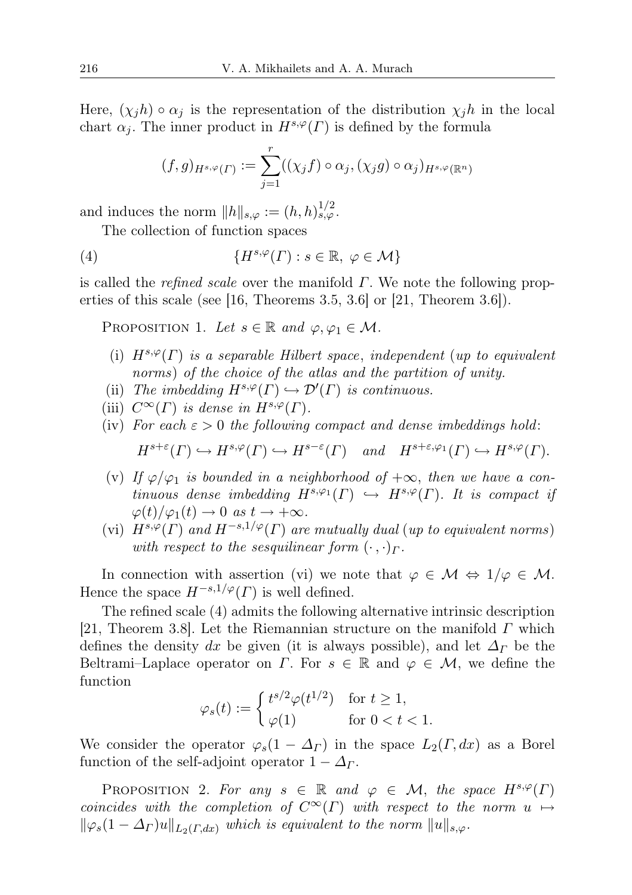Here,  $(\chi_i h) \circ \alpha_i$  is the representation of the distribution  $\chi_j h$  in the local chart  $\alpha_i$ . The inner product in  $H^{s,\varphi}(\Gamma)$  is defined by the formula

$$
(f,g)_{H^{s,\varphi}(\Gamma)} := \sum_{j=1}^r ((\chi_j f) \circ \alpha_j, (\chi_j g) \circ \alpha_j)_{H^{s,\varphi}(\mathbb{R}^n)}
$$

and induces the norm  $||h||_{s,\varphi} := (h,h)_{s,\varphi}^{1/2}$ .

The collection of function spaces

(4) 
$$
\{H^{s,\varphi}(\Gamma) : s \in \mathbb{R}, \ \varphi \in \mathcal{M}\}
$$

is called the *refined scale* over the manifold  $\Gamma$ . We note the following properties of this scale (see [16, Theorems 3.5, 3.6] or [21, Theorem 3.6]).

PROPOSITION 1. Let  $s \in \mathbb{R}$  and  $\varphi, \varphi_1 \in \mathcal{M}$ .

- (i)  $H^{s,\varphi}(\Gamma)$  is a separable Hilbert space, independent (up to equivalent norms) of the choice of the atlas and the partition of unity.
- (ii) The imbedding  $H^{s,\varphi}(\Gamma) \hookrightarrow \mathcal{D}'(\Gamma)$  is continuous.
- (iii)  $C^{\infty}(\Gamma)$  is dense in  $H^{s,\varphi}(\Gamma)$ .
- (iv) For each  $\varepsilon > 0$  the following compact and dense imbeddings hold:

 $H^{s+\varepsilon}(\Gamma) \hookrightarrow H^{s,\varphi}(\Gamma) \hookrightarrow H^{s-\varepsilon}(\Gamma)$  and  $H^{s+\varepsilon,\varphi_1}(\Gamma) \hookrightarrow H^{s,\varphi}(\Gamma)$ .

- (v) If  $\varphi/\varphi_1$  is bounded in a neighborhood of  $+\infty$ , then we have a continuous dense imbedding  $H^{s,\varphi_1}(\Gamma) \hookrightarrow H^{s,\varphi}(\Gamma)$ . It is compact if  $\varphi(t)/\varphi_1(t) \to 0 \text{ as } t \to +\infty.$
- (vi)  $H^{s,\varphi}(\Gamma)$  and  $H^{-s,1/\varphi}(\Gamma)$  are mutually dual (up to equivalent norms) with respect to the sesquilinear form  $(\cdot, \cdot)_\Gamma$ .

In connection with assertion (vi) we note that  $\varphi \in \mathcal{M} \Leftrightarrow 1/\varphi \in \mathcal{M}$ . Hence the space  $H^{-s,1/\varphi}(\Gamma)$  is well defined.

The refined scale (4) admits the following alternative intrinsic description [21, Theorem 3.8]. Let the Riemannian structure on the manifold  $\Gamma$  which defines the density dx be given (it is always possible), and let  $\Delta_{\Gamma}$  be the Beltrami–Laplace operator on  $\Gamma$ . For  $s \in \mathbb{R}$  and  $\varphi \in \mathcal{M}$ , we define the function

$$
\varphi_s(t) := \begin{cases} t^{s/2} \varphi(t^{1/2}) & \text{for } t \ge 1, \\ \varphi(1) & \text{for } 0 < t < 1. \end{cases}
$$

We consider the operator  $\varphi_s(1-\Delta_\Gamma)$  in the space  $L_2(\Gamma,dx)$  as a Borel function of the self-adjoint operator  $1 - \Delta_{\Gamma}$ .

PROPOSITION 2. For any  $s \in \mathbb{R}$  and  $\varphi \in \mathcal{M}$ , the space  $H^{s,\varphi}(\Gamma)$ coincides with the completion of  $C^{\infty}(\Gamma)$  with respect to the norm  $u \mapsto$  $\|\varphi_s(1-\Delta_{\Gamma})u\|_{L_2(\Gamma, dx)}$  which is equivalent to the norm  $\|u\|_{s,\varphi}$ .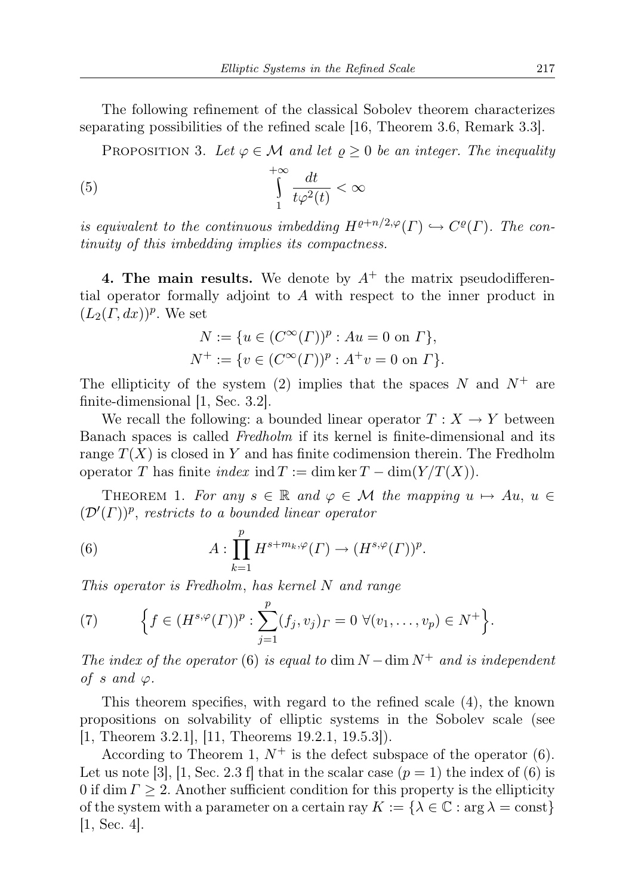The following refinement of the classical Sobolev theorem characterizes separating possibilities of the refined scale [16, Theorem 3.6, Remark 3.3].

PROPOSITION 3. Let  $\varphi \in \mathcal{M}$  and let  $\rho \geq 0$  be an integer. The inequality

(5) 
$$
\int_{1}^{+\infty} \frac{dt}{t\varphi^2(t)} < \infty
$$

is equivalent to the continuous imbedding  $H^{\rho+n/2,\varphi}(\Gamma) \hookrightarrow C^{\rho}(\Gamma)$ . The continuity of this imbedding implies its compactness.

4. The main results. We denote by  $A^+$  the matrix pseudodifferential operator formally adjoint to A with respect to the inner product in  $(L_2(\Gamma, dx))^p$ . We set

$$
N := \{ u \in (C^{\infty}(\Gamma))^p : Au = 0 \text{ on } \Gamma \},
$$
  

$$
N^+ := \{ v \in (C^{\infty}(\Gamma))^p : A^+v = 0 \text{ on } \Gamma \}.
$$

The ellipticity of the system (2) implies that the spaces  $N$  and  $N^+$  are finite-dimensional [1, Sec. 3.2].

We recall the following: a bounded linear operator  $T : X \to Y$  between Banach spaces is called Fredholm if its kernel is finite-dimensional and its range  $T(X)$  is closed in Y and has finite codimension therein. The Fredholm operator T has finite index ind  $T := \dim \ker T - \dim(Y/T(X)).$ 

THEOREM 1. For any  $s \in \mathbb{R}$  and  $\varphi \in \mathcal{M}$  the mapping  $u \mapsto Au$ ,  $u \in$  $(\mathcal{D}'(\Gamma))^p$ , restricts to a bounded linear operator

(6) 
$$
A: \prod_{k=1}^p H^{s+m_k,\varphi}(\Gamma) \to (H^{s,\varphi}(\Gamma))^p.
$$

This operator is Fredholm, has kernel N and range

(7) 
$$
\Big\{f \in (H^{s,\varphi}(\Gamma))^p : \sum_{j=1}^p (f_j,v_j)_\Gamma = 0 \ \forall (v_1,\ldots,v_p) \in N^+\Big\}.
$$

The index of the operator (6) is equal to dim  $N - \dim N^+$  and is independent of s and  $\varphi$ .

This theorem specifies, with regard to the refined scale (4), the known propositions on solvability of elliptic systems in the Sobolev scale (see [1, Theorem 3.2.1], [11, Theorems 19.2.1, 19.5.3]).

According to Theorem 1,  $N^+$  is the defect subspace of the operator (6). Let us note [3], [1, Sec. 2.3 f] that in the scalar case  $(p = 1)$  the index of (6) is 0 if dim  $\Gamma \geq 2$ . Another sufficient condition for this property is the ellipticity of the system with a parameter on a certain ray  $K := \{ \lambda \in \mathbb{C} : \arg \lambda = \text{const} \}$  $[1, Sec. 4].$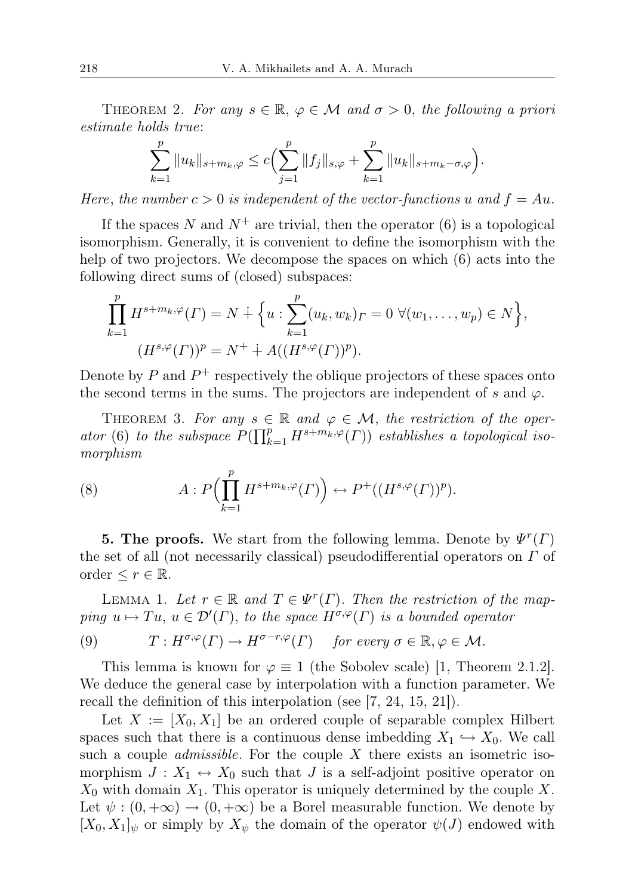THEOREM 2. For any  $s \in \mathbb{R}, \varphi \in \mathcal{M}$  and  $\sigma > 0$ , the following a priori estimate holds true:

$$
\sum_{k=1}^p \|u_k\|_{s+m_k,\varphi} \leq c \Big(\sum_{j=1}^p \|f_j\|_{s,\varphi} + \sum_{k=1}^p \|u_k\|_{s+m_k-\sigma,\varphi}\Big).
$$

Here, the number  $c > 0$  is independent of the vector-functions u and  $f = Au$ .

If the spaces N and  $N^+$  are trivial, then the operator (6) is a topological isomorphism. Generally, it is convenient to define the isomorphism with the help of two projectors. We decompose the spaces on which (6) acts into the following direct sums of (closed) subspaces:

$$
\prod_{k=1}^{p} H^{s+m_k,\varphi}(\Gamma) = N \dotplus \left\{ u : \sum_{k=1}^{p} (u_k, w_k)_{\Gamma} = 0 \ \forall (w_1, \dots, w_p) \in N \right\},
$$

$$
(H^{s,\varphi}(\Gamma))^p = N^+ \dotplus A((H^{s,\varphi}(\Gamma))^p).
$$

Denote by  $P$  and  $P^+$  respectively the oblique projectors of these spaces onto the second terms in the sums. The projectors are independent of s and  $\varphi$ .

THEOREM 3. For any  $s \in \mathbb{R}$  and  $\varphi \in \mathcal{M}$ , the restriction of the operator (6) to the subspace  $P(\prod_{k=1}^p H^{s+m_k,\varphi}(\Gamma))$  establishes a topological isomorphism

(8) 
$$
A: P\left(\prod_{k=1}^p H^{s+m_k,\varphi}(\Gamma)\right) \leftrightarrow P^+\left((H^{s,\varphi}(\Gamma))^p\right).
$$

**5. The proofs.** We start from the following lemma. Denote by  $\psi^r(\Gamma)$ the set of all (not necessarily classical) pseudodifferential operators on  $\Gamma$  of order  $\leq r \in \mathbb{R}$ .

LEMMA 1. Let  $r \in \mathbb{R}$  and  $T \in \Psi^r(\Gamma)$ . Then the restriction of the mapping  $u \mapsto Tu$ ,  $u \in \mathcal{D}'(\Gamma)$ , to the space  $H^{\sigma,\varphi}(\Gamma)$  is a bounded operator

(9) 
$$
T: H^{\sigma,\varphi}(\Gamma) \to H^{\sigma-r,\varphi}(\Gamma)
$$
 for every  $\sigma \in \mathbb{R}, \varphi \in \mathcal{M}$ .

This lemma is known for  $\varphi \equiv 1$  (the Sobolev scale) [1, Theorem 2.1.2]. We deduce the general case by interpolation with a function parameter. We recall the definition of this interpolation (see [7, 24, 15, 21]).

Let  $X := [X_0, X_1]$  be an ordered couple of separable complex Hilbert spaces such that there is a continuous dense imbedding  $X_1 \hookrightarrow X_0$ . We call such a couple *admissible*. For the couple  $X$  there exists an isometric isomorphism  $J: X_1 \leftrightarrow X_0$  such that J is a self-adjoint positive operator on  $X_0$  with domain  $X_1$ . This operator is uniquely determined by the couple X. Let  $\psi : (0, +\infty) \to (0, +\infty)$  be a Borel measurable function. We denote by  $[X_0, X_1]_\psi$  or simply by  $X_\psi$  the domain of the operator  $\psi(J)$  endowed with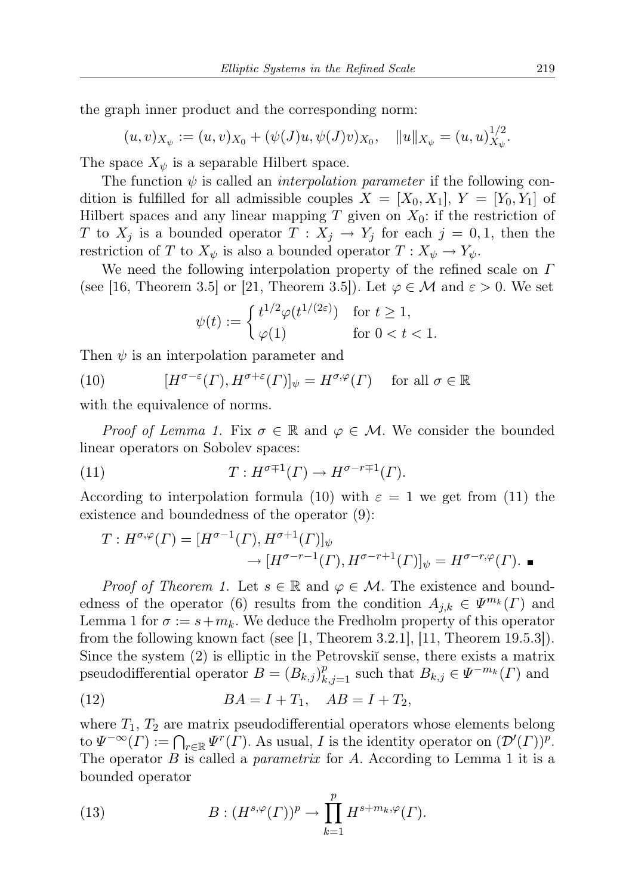the graph inner product and the corresponding norm:

$$
(u,v)_{X_{\psi}} := (u,v)_{X_0} + (\psi(J)u, \psi(J)v)_{X_0}, \quad ||u||_{X_{\psi}} = (u,u)_{X_{\psi}}^{1/2}.
$$

The space  $X_{\psi}$  is a separable Hilbert space.

The function  $\psi$  is called an *interpolation parameter* if the following condition is fulfilled for all admissible couples  $X = [X_0, X_1], Y = [Y_0, Y_1]$  of Hilbert spaces and any linear mapping  $T$  given on  $X_0$ : if the restriction of T to  $X_j$  is a bounded operator  $T: X_j \to Y_j$  for each  $j = 0, 1$ , then the restriction of T to  $X_{\psi}$  is also a bounded operator  $T: X_{\psi} \to Y_{\psi}$ .

We need the following interpolation property of the refined scale on  $\Gamma$ (see [16, Theorem 3.5] or [21, Theorem 3.5]). Let  $\varphi \in \mathcal{M}$  and  $\varepsilon > 0$ . We set

$$
\psi(t) := \begin{cases} t^{1/2} \varphi(t^{1/(2\varepsilon)}) & \text{for } t \ge 1, \\ \varphi(1) & \text{for } 0 < t < 1. \end{cases}
$$

Then  $\psi$  is an interpolation parameter and

(10) 
$$
[H^{\sigma-\varepsilon}(\Gamma), H^{\sigma+\varepsilon}(\Gamma)]_{\psi} = H^{\sigma,\varphi}(\Gamma) \quad \text{for all } \sigma \in \mathbb{R}
$$

with the equivalence of norms.

*Proof of Lemma 1.* Fix  $\sigma \in \mathbb{R}$  and  $\varphi \in \mathcal{M}$ . We consider the bounded linear operators on Sobolev spaces:

(11) 
$$
T: H^{\sigma+1}(\Gamma) \to H^{\sigma-r+1}(\Gamma).
$$

According to interpolation formula (10) with  $\varepsilon = 1$  we get from (11) the existence and boundedness of the operator (9):

$$
T: H^{\sigma,\varphi}(\Gamma) = [H^{\sigma-1}(\Gamma), H^{\sigma+1}(\Gamma)]_{\psi}
$$
  
 
$$
\rightarrow [H^{\sigma-r-1}(\Gamma), H^{\sigma-r+1}(\Gamma)]_{\psi} = H^{\sigma-r,\varphi}(\Gamma).
$$

*Proof of Theorem 1.* Let  $s \in \mathbb{R}$  and  $\varphi \in \mathcal{M}$ . The existence and boundedness of the operator (6) results from the condition  $A_{j,k} \in \Psi^{m_k}(\Gamma)$  and Lemma 1 for  $\sigma := s + m_k$ . We deduce the Fredholm property of this operator from the following known fact (see [1, Theorem 3.2.1], [11, Theorem 19.5.3]). Since the system  $(2)$  is elliptic in the Petrovski $\tilde{a}$  sense, there exists a matrix pseudodifferential operator  $B = (B_{k,j})_{k,j=1}^p$  such that  $B_{k,j} \in \Psi^{-m_k}(\Gamma)$  and

(12) 
$$
BA = I + T_1, AB = I + T_2,
$$

where  $T_1$ ,  $T_2$  are matrix pseudodifferential operators whose elements belong to  $\Psi^{-\infty}(\Gamma) := \bigcap_{r \in \mathbb{R}} \Psi^{r}(\Gamma)$ . As usual, I is the identity operator on  $(\mathcal{D}'(\Gamma))^p$ . The operator  $B$  is called a *parametrix* for  $A$ . According to Lemma 1 it is a bounded operator

(13) 
$$
B: (H^{s,\varphi}(\Gamma))^p \to \prod_{k=1}^p H^{s+m_k,\varphi}(\Gamma).
$$

 $1/2$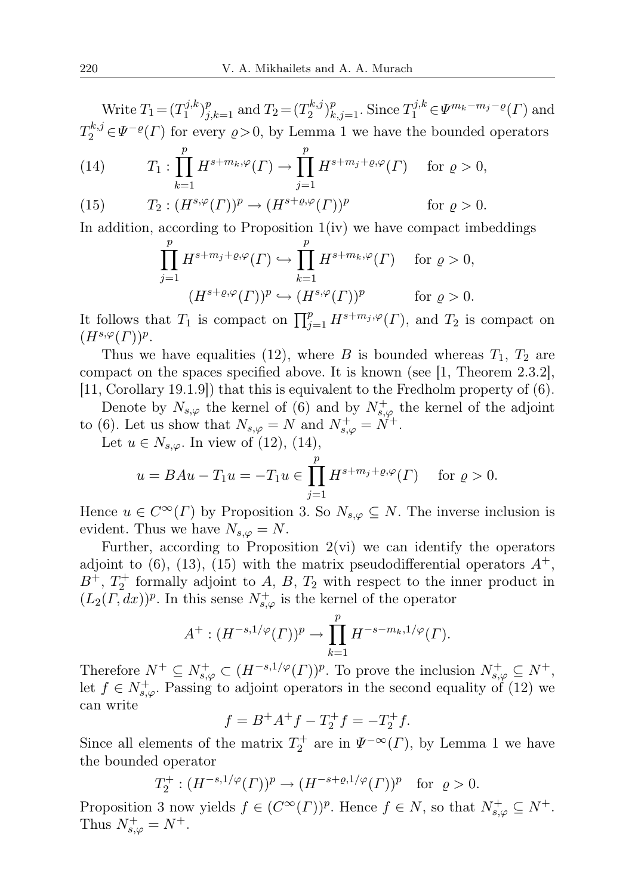Write  $T_1 = (T_1^{j,k})$  $(T_1^{j,k})_{j,k=1}^p$  and  $T_2 = (T_2^{k,j})$  $\sum_{i=2}^{k,j} \sum_{k,j=1}^{p}$ . Since  $T_1^{j,k} \in \Psi^{m_k-m_j-\varrho}(T)$  and  $T_2^{k,j} \in \Psi^{-\varrho}(\Gamma)$  for every  $\varrho > 0$ , by Lemma 1 we have the bounded operators

(14) 
$$
T_1: \prod_{k=1}^p H^{s+m_k,\varphi}(\Gamma) \to \prod_{j=1}^p H^{s+m_j+\varrho,\varphi}(\Gamma) \quad \text{for } \varrho > 0,
$$

(15) 
$$
T_2: (H^{s,\varphi}(\Gamma))^p \to (H^{s+\varrho,\varphi}(\Gamma))^p \qquad \text{for } \varrho > 0.
$$

In addition, according to Proposition  $1(iv)$  we have compact imbeddings

$$
\prod_{j=1}^p H^{s+m_j+\varrho,\varphi}(\Gamma) \hookrightarrow \prod_{k=1}^p H^{s+m_k,\varphi}(\Gamma) \quad \text{for } \varrho > 0,
$$
  

$$
(H^{s+\varrho,\varphi}(\Gamma))^p \hookrightarrow (H^{s,\varphi}(\Gamma))^p \quad \text{for } \varrho > 0.
$$

It follows that  $T_1$  is compact on  $\prod_{j=1}^p H^{s+m_j,\varphi}(\Gamma)$ , and  $T_2$  is compact on  $(H^{s,\varphi}(\Gamma))^p$ .

Thus we have equalities (12), where B is bounded whereas  $T_1$ ,  $T_2$  are compact on the spaces specified above. It is known (see [1, Theorem 2.3.2], [11, Corollary 19.1.9]) that this is equivalent to the Fredholm property of (6).

Denote by  $N_{s,\varphi}$  the kernel of (6) and by  $N_{s,\varphi}^+$  the kernel of the adjoint to (6). Let us show that  $N_{s,\varphi} = N$  and  $N_{s,\varphi}^+ = N^+$ .

Let  $u \in N_{s,\varphi}$ . In view of (12), (14),

$$
u = BAu - T_1u = -T_1u \in \prod_{j=1}^p H^{s+m_j+\varrho,\varphi}(\Gamma) \quad \text{ for } \varrho > 0.
$$

Hence  $u \in C^{\infty}(\Gamma)$  by Proposition 3. So  $N_{s,\varphi} \subseteq N$ . The inverse inclusion is evident. Thus we have  $N_{s,\varphi}=N$ .

Further, according to Proposition  $2(\nu i)$  we can identify the operators adjoint to  $(6)$ ,  $(13)$ ,  $(15)$  with the matrix pseudodifferential operators  $A^+,$  $B^+$ ,  $T_2^+$  formally adjoint to A, B,  $T_2$  with respect to the inner product in  $(L_2(\Gamma, dx))^p$ . In this sense  $N^+_{s,\varphi}$  is the kernel of the operator

$$
A^+ : (H^{-s, 1/\varphi}(T))^p \to \prod_{k=1}^p H^{-s-m_k, 1/\varphi}(T).
$$

Therefore  $N^+ \subseteq N^+_{s,\varphi} \subset (H^{-s,1/\varphi}(T))^p$ . To prove the inclusion  $N^+_{s,\varphi} \subseteq N^+$ , let  $f \in N^+_{s,\varphi}$ . Passing to adjoint operators in the second equality of (12) we can write

$$
f = B^{+}A^{+}f - T_{2}^{+}f = -T_{2}^{+}f.
$$

Since all elements of the matrix  $T_2^+$  are in  $\Psi^{-\infty}(\Gamma)$ , by Lemma 1 we have the bounded operator

$$
T_2^+ : (H^{-s,1/\varphi}(\Gamma))^p \to (H^{-s+\varrho,1/\varphi}(\Gamma))^p
$$
 for  $\varrho > 0$ .

Proposition 3 now yields  $f \in (C^{\infty}(\Gamma))^p$ . Hence  $f \in N$ , so that  $N^+_{s,\varphi} \subseteq N^+$ . Thus  $N^+_{s,\varphi}=N^+$ .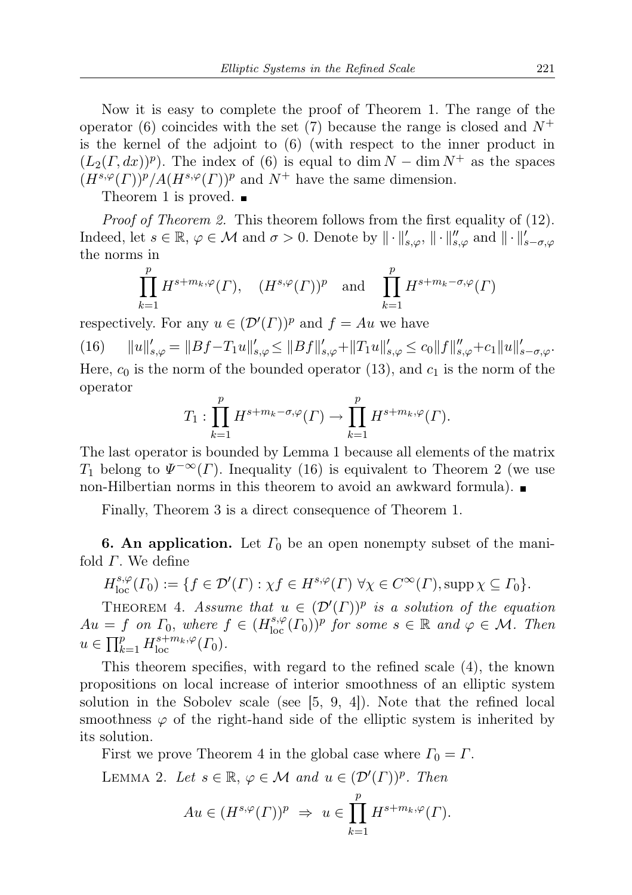Now it is easy to complete the proof of Theorem 1. The range of the operator (6) coincides with the set (7) because the range is closed and  $N^+$ is the kernel of the adjoint to (6) (with respect to the inner product in  $(L_2(\Gamma, dx))^p$ ). The index of (6) is equal to dim  $N - \dim N^+$  as the spaces  $(H^{s,\varphi}(\Gamma))^p/A(H^{s,\varphi}(\Gamma))^p$  and  $N^+$  have the same dimension.

Theorem 1 is proved.  $\blacksquare$ 

Proof of Theorem 2. This theorem follows from the first equality of (12). Indeed, let  $s \in \mathbb{R}$ ,  $\varphi \in \mathcal{M}$  and  $\sigma > 0$ . Denote by  $\|\cdot\|'_{s,\varphi}, \|\cdot\|''_{s,\varphi}$  and  $\|\cdot\|'_{s-\sigma,\varphi}$ the norms in

$$
\prod_{k=1}^{p} H^{s+m_k,\varphi}(\Gamma), \quad (H^{s,\varphi}(\Gamma))^p \quad \text{and} \quad \prod_{k=1}^{p} H^{s+m_k-\sigma,\varphi}(\Gamma)
$$

respectively. For any  $u \in (\mathcal{D}'(\Gamma))^p$  and  $f = Au$  we have

(16)  $||u||'_{s,\varphi} = ||Bf - T_1u||'_{s,\varphi} \le ||Bf||'_{s,\varphi} + ||T_1u||'_{s,\varphi} \le c_0||f||''_{s,\varphi} + c_1||u||'_{s-\sigma,\varphi}$ Here,  $c_0$  is the norm of the bounded operator (13), and  $c_1$  is the norm of the operator

$$
T_1: \prod_{k=1}^p H^{s+m_k-\sigma,\varphi}(\Gamma) \to \prod_{k=1}^p H^{s+m_k,\varphi}(\Gamma).
$$

The last operator is bounded by Lemma 1 because all elements of the matrix  $T_1$  belong to  $\Psi^{-\infty}(\Gamma)$ . Inequality (16) is equivalent to Theorem 2 (we use non-Hilbertian norms in this theorem to avoid an awkward formula).

Finally, Theorem 3 is a direct consequence of Theorem 1.

**6. An application.** Let  $\Gamma_0$  be an open nonempty subset of the manifold  $\Gamma$ . We define

$$
H^{s,\varphi}_{\text{loc}}(\Gamma_0) := \{ f \in \mathcal{D}'(\Gamma) : \chi f \in H^{s,\varphi}(\Gamma) \,\,\forall \chi \in C^{\infty}(\Gamma), \text{supp}\,\chi \subseteq \Gamma_0 \}.
$$

THEOREM 4. Assume that  $u \in (D'(F))^p$  is a solution of the equation  $Au = f$  on  $\Gamma_0$ , where  $f \in (H^{s,\varphi}_{loc}(\Gamma_0))^p$  for some  $s \in \mathbb{R}$  and  $\varphi \in \mathcal{M}$ . Then  $u \in \prod_{k=1}^p H_{\text{loc}}^{s+m_k, \varphi}(\Gamma_0).$ 

This theorem specifies, with regard to the refined scale (4), the known propositions on local increase of interior smoothness of an elliptic system solution in the Sobolev scale (see [5, 9, 4]). Note that the refined local smoothness  $\varphi$  of the right-hand side of the elliptic system is inherited by its solution.

First we prove Theorem 4 in the global case where  $\Gamma_0 = \Gamma$ .

LEMMA 2. Let  $s \in \mathbb{R}, \varphi \in \mathcal{M}$  and  $u \in (\mathcal{D}'(\Gamma))^p$ . Then

$$
Au \in (H^{s,\varphi}(\Gamma))^p \Rightarrow u \in \prod_{k=1}^p H^{s+m_k,\varphi}(\Gamma).
$$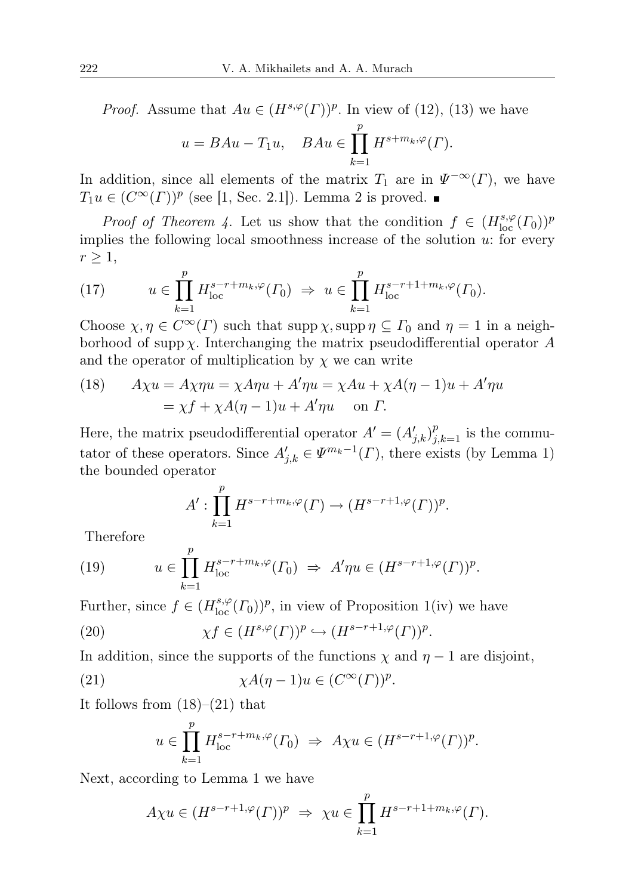*Proof.* Assume that  $Au \in (H^{s,\varphi}(\Gamma))^p$ . In view of (12), (13) we have

$$
u = BAu - T_1u, \quad BAu \in \prod_{k=1}^p H^{s+m_k,\varphi}(\Gamma).
$$

In addition, since all elements of the matrix  $T_1$  are in  $\Psi^{-\infty}(\Gamma)$ , we have  $T_1u \in (C^{\infty}(\Gamma))^p$  (see [1, Sec. 2.1]). Lemma 2 is proved.

*Proof of Theorem 4.* Let us show that the condition  $f \in (H^{s,\varphi}_{loc}(T_0))^p$ implies the following local smoothness increase of the solution  $u$ : for every  $r \geq 1$ ,

(17) 
$$
u \in \prod_{k=1}^{p} H_{\text{loc}}^{s-r+m_k, \varphi}(T_0) \implies u \in \prod_{k=1}^{p} H_{\text{loc}}^{s-r+1+m_k, \varphi}(T_0).
$$

Choose  $\chi, \eta \in C^{\infty}(\Gamma)$  such that supp  $\chi$ , supp  $\eta \subseteq \Gamma_0$  and  $\eta = 1$  in a neighborhood of supp  $\chi$ . Interchanging the matrix pseudodifferential operator A and the operator of multiplication by  $\chi$  we can write

(18) 
$$
A\chi u = A\chi \eta u = \chi A\eta u + A'\eta u = \chi Au + \chi A(\eta - 1)u + A'\eta u
$$

$$
= \chi f + \chi A(\eta - 1)u + A'\eta u \quad \text{on } \Gamma.
$$

Here, the matrix pseudodifferential operator  $A' = (A'_{j,k})_{j,k=1}^p$  is the commutator of these operators. Since  $A'_{j,k} \in \Psi^{m_k-1}(\Gamma)$ , there exists (by Lemma 1) the bounded operator

$$
A': \prod_{k=1}^p H^{s-r+m_k,\varphi}(\Gamma) \to (H^{s-r+1,\varphi}(\Gamma))^p.
$$

Therefore

(19) 
$$
u \in \prod_{k=1}^p H_{\text{loc}}^{s-r+m_k, \varphi}(T_0) \Rightarrow A'\eta u \in (H^{s-r+1, \varphi}(T))^p.
$$

Further, since  $f \in (H^{s,\varphi}_{\text{loc}}(\Gamma_0))^p$ , in view of Proposition 1(iv) we have

(20) 
$$
\chi f \in (H^{s,\varphi}(\Gamma))^p \hookrightarrow (H^{s-r+1,\varphi}(\Gamma))^p.
$$

In addition, since the supports of the functions  $\chi$  and  $\eta - 1$  are disjoint,

(21) 
$$
\chi A(\eta - 1)u \in (C^{\infty}(\Gamma))^p.
$$

It follows from  $(18)$ – $(21)$  that

$$
u \in \prod_{k=1}^p H_{\text{loc}}^{s-r+m_k, \varphi}(T_0) \implies A\chi u \in (H^{s-r+1, \varphi}(\Gamma))^p.
$$

Next, according to Lemma 1 we have

$$
A\chi u \in (H^{s-r+1,\varphi}(\Gamma))^p \Rightarrow \chi u \in \prod_{k=1}^p H^{s-r+1+m_k,\varphi}(\Gamma).
$$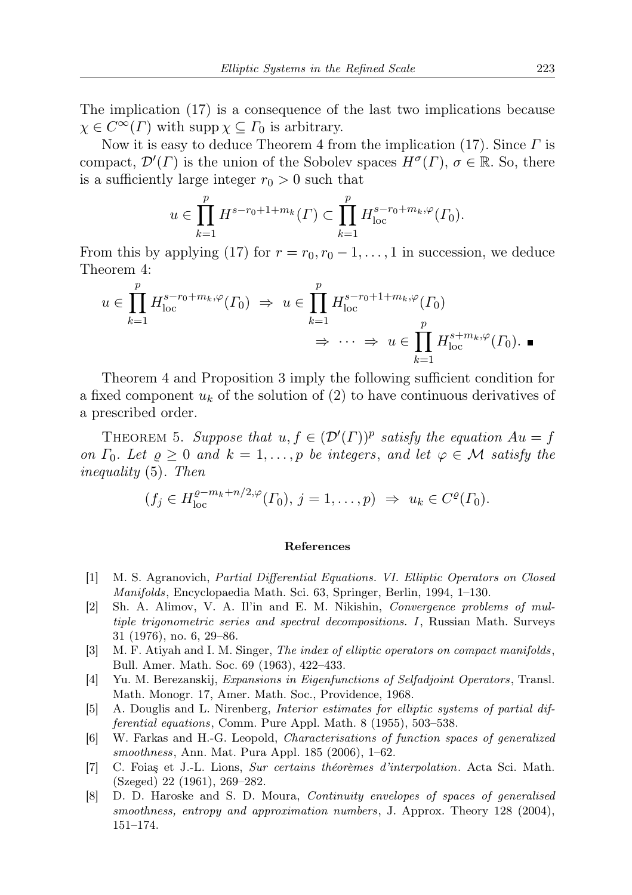The implication (17) is a consequence of the last two implications because  $\chi \in C^{\infty}(\Gamma)$  with supp  $\chi \subseteq \Gamma_0$  is arbitrary.

Now it is easy to deduce Theorem 4 from the implication  $(17)$ . Since  $\Gamma$  is compact,  $\mathcal{D}'(\Gamma)$  is the union of the Sobolev spaces  $H^{\sigma}(\Gamma)$ ,  $\sigma \in \mathbb{R}$ . So, there is a sufficiently large integer  $r_0 > 0$  such that

$$
u \in \prod_{k=1}^{p} H^{s-r_0+1+m_k}(\Gamma) \subset \prod_{k=1}^{p} H^{s-r_0+m_k,\varphi}_{\text{loc}}(\Gamma_0).
$$

From this by applying (17) for  $r = r_0, r_0 - 1, \ldots, 1$  in succession, we deduce Theorem 4:

$$
u \in \prod_{k=1}^p H_{\text{loc}}^{s-r_0+m_k, \varphi}(T_0) \implies u \in \prod_{k=1}^p H_{\text{loc}}^{s-r_0+1+m_k, \varphi}(T_0)
$$
  

$$
\implies \cdots \implies u \in \prod_{k=1}^p H_{\text{loc}}^{s+m_k, \varphi}(T_0). \blacksquare
$$

Theorem 4 and Proposition 3 imply the following sufficient condition for a fixed component  $u_k$  of the solution of (2) to have continuous derivatives of a prescribed order.

THEOREM 5. Suppose that  $u, f \in (\mathcal{D}'(\Gamma))^p$  satisfy the equation  $Au = f$ on  $\Gamma_0$ . Let  $\rho \geq 0$  and  $k = 1, \ldots, p$  be integers, and let  $\varphi \in \mathcal{M}$  satisfy the inequality (5). Then

$$
(f_j \in H_{\text{loc}}^{\varrho-m_k+n/2,\varphi}(\Gamma_0),\, j=1,\ldots,p) \Rightarrow u_k \in C^{\varrho}(\Gamma_0).
$$

## References

- [1] M. S. Agranovich, Partial Differential Equations. VI. Elliptic Operators on Closed Manifolds, Encyclopaedia Math. Sci. 63, Springer, Berlin, 1994, 1–130.
- [2] Sh. A. Alimov, V. A. Il'in and E. M. Nikishin, Convergence problems of multiple trigonometric series and spectral decompositions. I, Russian Math. Surveys 31 (1976), no. 6, 29–86.
- [3] M. F. Atiyah and I. M. Singer, The index of elliptic operators on compact manifolds, Bull. Amer. Math. Soc. 69 (1963), 422–433.
- [4] Yu. M. Berezanskij, Expansions in Eigenfunctions of Selfadjoint Operators, Transl. Math. Monogr. 17, Amer. Math. Soc., Providence, 1968.
- [5] A. Douglis and L. Nirenberg, Interior estimates for elliptic systems of partial differential equations, Comm. Pure Appl. Math. 8 (1955), 503–538.
- [6] W. Farkas and H.-G. Leopold, Characterisations of function spaces of generalized smoothness, Ann. Mat. Pura Appl. 185 (2006), 1–62.
- [7] C. Foiaş et J.-L. Lions, Sur certains théorèmes d'interpolation. Acta Sci. Math. (Szeged) 22 (1961), 269–282.
- [8] D. D. Haroske and S. D. Moura, Continuity envelopes of spaces of generalised smoothness, entropy and approximation numbers, J. Approx. Theory 128 (2004), 151–174.